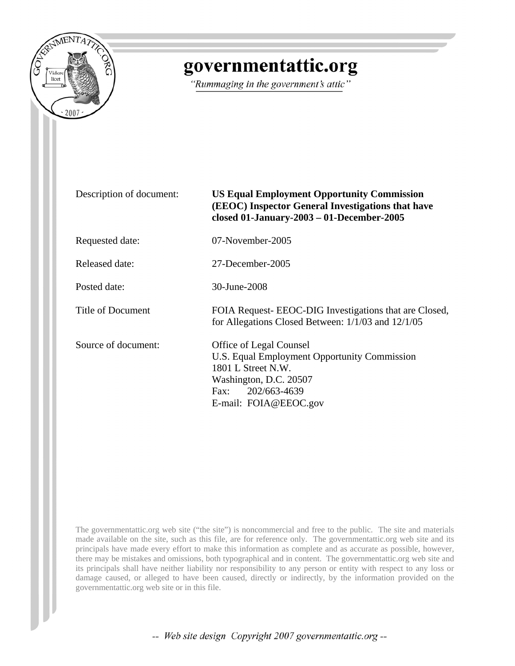

# governmentattic.org

"Rummaging in the government's attic"

Description of document: **US Equal Employment Opportunity Commission (EEOC) Inspector General Investigations that have closed 01-January-2003 – 01-December-2005** Requested date: 07-November-2005 Released date: 27-December-2005 Posted date: 30-June-2008 Title of Document FOIA Request- EEOC-DIG Investigations that are Closed, for Allegations Closed Between: 1/1/03 and 12/1/05 Source of document: Office of Legal Counsel U.S. Equal Employment Opportunity Commission 1801 L Street N.W. Washington, D.C. 20507 Fax: 202/663-4639 E-mail: [FOIA@EEOC.gov](mailto:FOIA@EEOC.gov) 

The governmentattic.org web site ("the site") is noncommercial and free to the public. The site and materials made available on the site, such as this file, are for reference only. The governmentattic.org web site and its principals have made every effort to make this information as complete and as accurate as possible, however, there may be mistakes and omissions, both typographical and in content. The governmentattic.org web site and its principals shall have neither liability nor responsibility to any person or entity with respect to any loss or damage caused, or alleged to have been caused, directly or indirectly, by the information provided on the governmentattic.org web site or in this file.

-- Web site design Copyright 2007 governmentattic.org --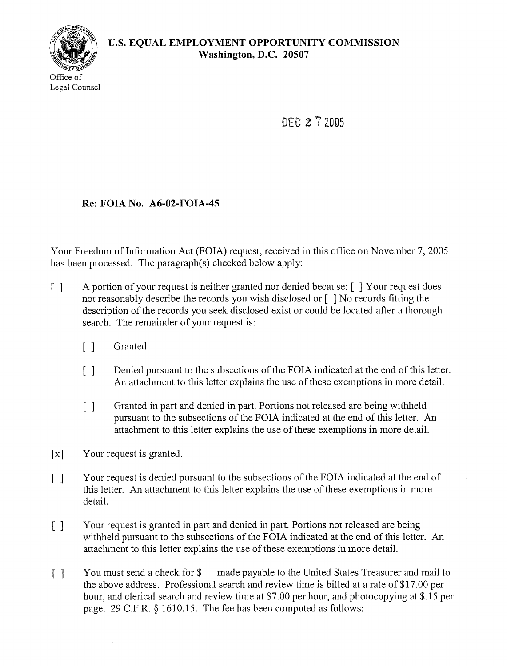

DFC 2 7 2005

# **Re: FOIA No. A6-02-FOIA-45**

Your Freedom of Information Act (FOIA) request, received in this office on November 7, 2005 has been processed. The paragraph(s) checked below apply:

- [] A portion of your request is neither granted nor denied because: [ ] Your request does not reasonably describe the records you wish disclosed or [ ] No records fitting the description of the records you seek disclosed exist or could be located after a thorough search. The remainder of your request is:
	- [] Granted
	- [] Denied pursuant to the subsections of the FOIA indicated at the end of this letter. An attachment to this letter explains the use of these exemptions in more detail.
	- [] Granted in part and denied in part. Portions not released are being withheld pursuant to the subsections of the FOIA indicated at the end of this letter. An attachment to this letter explains the use of these exemptions in more detail.
- [x] Your request is granted.
- [] Your request is denied pursuant to the subsections of the FOIA indicated at the end of this letter. An attachment to this letter explains the use of these exemptions in more detail.
- [] Your request is granted in part and denied in part. Portions not released are being withheld pursuant to the subsections of the FOIA indicated at the end of this letter. An attachment to this letter explains the use of these exemptions in more detail.
- [] You must send a check for \$ made payable to the United States Treasurer and mail to the above address. Professional search and review time is billed at a rate of \$17.00 per hour, and clerical search and review time at \$7.00 per hour, and photocopying at \$.15 per page. 29 C.F.R. § 1610.15. The fee has been computed as follows: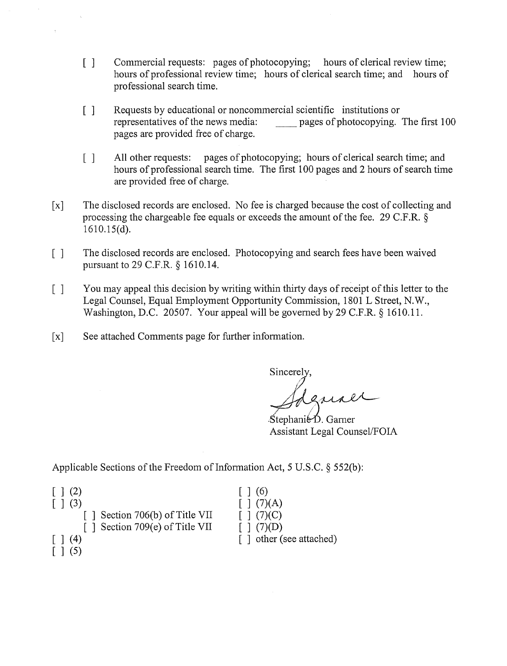- [] Commercial requests: pages of photocopying; hours of clerical review time; hours of professional review time; hours of clerical search time; and hours of professional search time.
- [] Requests by educational or noncommercial scientific institutions or representatives of the news media: pages of photocopying. pages of photocopying. The first 100 pages are provided free of charge.
- [] All other requests: pages of photocopying; hours of clerical search time; and hours of professional search time. The first 100 pages and 2 hours of search time are provided free of charge.
- [x] The disclosed records are enclosed. No fee is charged because the cost of collecting and processing the chargeable fee equals or exceeds the amount of the fee. 29 C.F.R.  $\S$ 1610.15(d).
- [] The disclosed records are enclosed. Photocopying and search fees have been waived pursuant to 29 C.F.R. § 1610.14.
- [] You may appeal this decision by writing within thirty days of receipt of this letter to the Legal Counsel, Equal Employment Opportunity Commission, 1801 L Street, N.W., Washington, D.C. 20507. Your appeal will be governed by 29 C.F.R. § 1610.11.
- [x] See attached Comments page for further information.

Sincere

lJ Sdgmaer

Stephanie D. Garner Assistant Legal Counsel/FOIA

Applicable Sections of the Freedom of Information Act, 5 U.S.C.  $\S$  552(b):

| $\lceil$ $\rceil$ (2)                        | $\lceil 1(6)$             |
|----------------------------------------------|---------------------------|
| $\lceil$ $\rceil$ (3)                        | $\lceil \, \rceil$ (7)(A) |
| $\lceil$ Section 706(b) of Title VII         | $\lceil$ 1 (7)(C)         |
| [] Section 709(e) of Title VII               | $\lceil (7)(D) \rceil$    |
| $\lceil$ $\rceil$ (4)<br>$\vert$ $\vert$ (5) | [] other (see attached)   |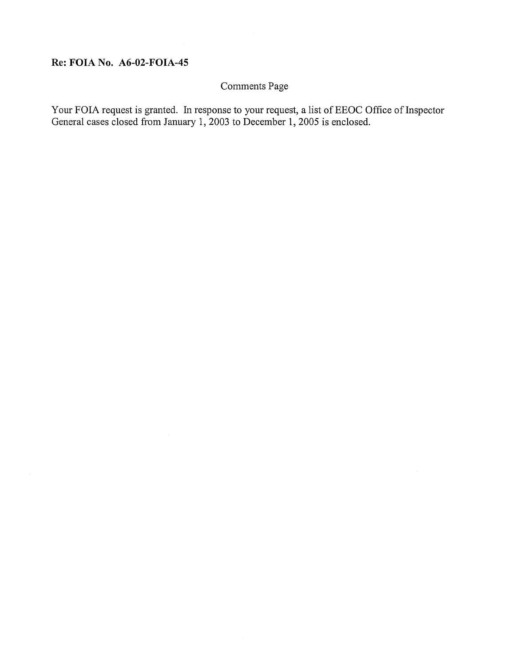# **Re: FOIA No. A6-02-FOIA-45**

# Comments Page

Your FOIA request is granted. In response to your request, a list of EEOC Office of Inspector General cases closed from January 1, 2003 to December 1, 2005 is enclosed.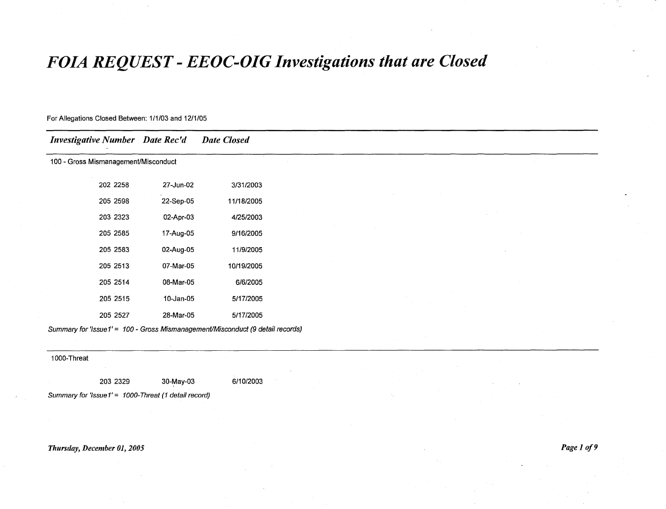# *FOIA REQUEST* **-** *EEOC-DIG Investigations that are Closed*

| <b>Investigative Number</b> Date Rec'd |           | <b>Date Closed</b>                                                             |  |
|----------------------------------------|-----------|--------------------------------------------------------------------------------|--|
| 100 - Gross Mismanagement/Misconduct   |           |                                                                                |  |
| 202 2258                               | 27-Jun-02 | 3/31/2003                                                                      |  |
| 205 2598                               | 22-Sep-05 | 11/18/2005                                                                     |  |
| 203 2323                               | 02-Apr-03 | 4/25/2003                                                                      |  |
| 205 2585                               | 17-Aug-05 | 9/16/2005                                                                      |  |
| 205 2583                               | 02-Aug-05 | 11/9/2005                                                                      |  |
| 205 2513                               | 07-Mar-05 | 10/19/2005                                                                     |  |
| 205 2514                               | 08-Mar-05 | 6/6/2005                                                                       |  |
| 205 2515                               | 10-Jan-05 | 5/17/2005                                                                      |  |
| 205 2527                               | 28-Mar-05 | 5/17/2005                                                                      |  |
|                                        |           | Summary for 'Issue1' = 100 - Gross Mismanagement/Misconduct (9 detail records) |  |

1000-Threat

203 2329 30-May-03 6/10/2003

Summary for 'Issue1' = 1000-Threat (1 detail record)

## *Thursday, December 01, 2005 Page* 1 *of9*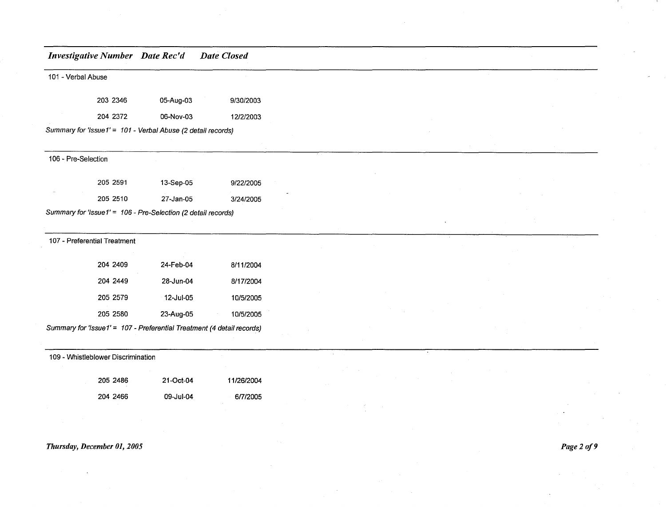101 - Verbal Abuse

| 203 2346 | 05-Aug-03 | 9/30/2003 |
|----------|-----------|-----------|
| 204 2372 | 06-Nov-03 | 12/2/2003 |
|          |           |           |

Summary for 'Issue1' = 101 - Verbal Abuse (2 detail records)

#### 106 - Pre-Selection

| 205 2591 | 13-Sep-05 | 9/22/2005 |
|----------|-----------|-----------|
| 205 2510 | 27-Jan-05 | 3/24/2005 |

Summary for 'Issue1' = 106 - Pre-Selection (2 detail records)

#### 107 - Preferential Treatment

| 204 2409 | 24-Feb-04 | 8/11/2004 |
|----------|-----------|-----------|
| 204 2449 | 28-Jun-04 | 8/17/2004 |
| 205 2579 | 12-Jul-05 | 10/5/2005 |
| 205 2580 | 23-Aug-05 | 10/5/2005 |

Summary for 'Issue 1' = 107 - Preferential Treatment (4 detail records)

#### 109 - Whistleblower Discrimination

| 205 2486 | 21-Oct-04 | 11/26/2004 |
|----------|-----------|------------|
| 204 2466 | 09-Jul-04 | 6/7/2005   |

#### *Thursday, December 01, 2005*

*Page2of9*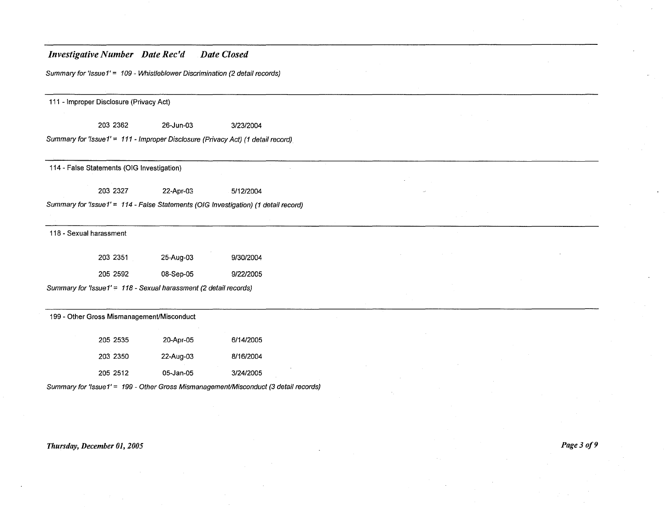Summary for 'Issue 1' = 109 - Whistleblower Discrimination (2 detail records)

111 - Improper Disclosure (Privacy Act)

203 2362 26-Jun-03 3/23/2004

Summary for 'Issue  $1' = 111$  - Improper Disclosure (Privacy Act) (1 detail record)

114 - False Statements (OIG Investigation)

203 2327 22-Apr-03 5/12/2004

Summary for 'Issue1' = 114 - False Statements (OIG Investigation) (1 detail record)

118 - Sexual harassment

| 203 2351 | 25-Aug-03 | 9/30/2004 |
|----------|-----------|-----------|
| 205 2592 | 08-Sep-05 | 9/22/2005 |

Summary for 'lssue1' = <sup>118</sup> - Sexual harassment (2 detail records)

| 199 - Other Gross Mismanagement/Misconduct |          |           |           |  |  |  |  |
|--------------------------------------------|----------|-----------|-----------|--|--|--|--|
|                                            | 205 2535 | 20-Apr-05 | 6/14/2005 |  |  |  |  |
|                                            | 203 2350 | 22-Aug-03 | 8/16/2004 |  |  |  |  |
|                                            | 205 2512 | 05-Jan-05 | 3/24/2005 |  |  |  |  |

Summary for 'Issue 1' = 199 - Other Gross Mismanagement/Misconduct (3 detail records)

#### *Thursday, December 01, 2005 Page30f9*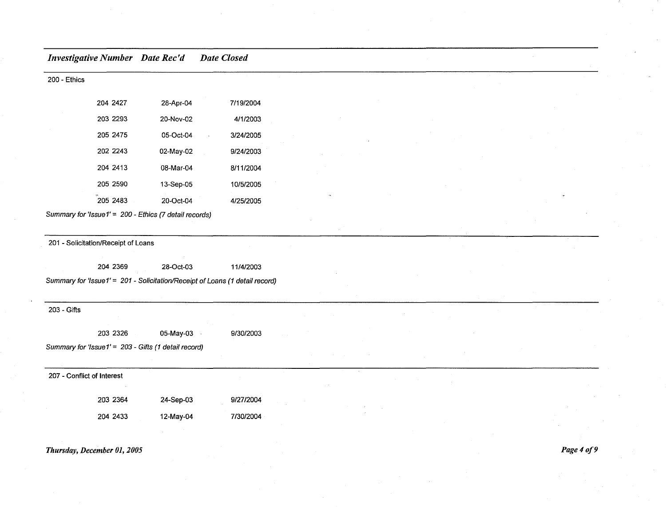| 200 - Ethics               |                                     |                                                                              |           |  |  |  |  |  |
|----------------------------|-------------------------------------|------------------------------------------------------------------------------|-----------|--|--|--|--|--|
|                            | 204 2427                            | 28-Apr-04                                                                    | 7/19/2004 |  |  |  |  |  |
|                            | 203 2293                            | 20-Nov-02                                                                    | 4/1/2003  |  |  |  |  |  |
|                            | 205 2475                            | 05-Oct-04                                                                    | 3/24/2005 |  |  |  |  |  |
|                            | 202 2243                            | 02-May-02                                                                    | 9/24/2003 |  |  |  |  |  |
|                            | 204 2413                            | 08-Mar-04                                                                    | 8/11/2004 |  |  |  |  |  |
|                            | 205 2590                            | 13-Sep-05                                                                    | 10/5/2005 |  |  |  |  |  |
|                            | 205 2483                            | 20-Oct-04                                                                    | 4/25/2005 |  |  |  |  |  |
|                            |                                     | Summary for 'Issue1' = 200 - Ethics (7 detail records)                       |           |  |  |  |  |  |
|                            |                                     |                                                                              |           |  |  |  |  |  |
|                            | 201 - Solicitation/Receipt of Loans |                                                                              |           |  |  |  |  |  |
|                            | 204 2369                            | 28-Oct-03                                                                    | 11/4/2003 |  |  |  |  |  |
|                            |                                     | Summary for 'Issue1' = 201 - Solicitation/Receipt of Loans (1 detail record) |           |  |  |  |  |  |
|                            |                                     |                                                                              |           |  |  |  |  |  |
| 203 - Gifts                |                                     |                                                                              |           |  |  |  |  |  |
|                            | 203 2326                            | 05-May-03                                                                    | 9/30/2003 |  |  |  |  |  |
|                            |                                     | Summary for 'Issue1' = 203 - Gifts (1 detail record)                         |           |  |  |  |  |  |
|                            |                                     |                                                                              |           |  |  |  |  |  |
| 207 - Conflict of Interest |                                     |                                                                              |           |  |  |  |  |  |
|                            | 203 2364                            | 24-Sep-03                                                                    | 9/27/2004 |  |  |  |  |  |
|                            |                                     |                                                                              |           |  |  |  |  |  |
|                            | 204 2433                            | 12-May-04                                                                    | 7/30/2004 |  |  |  |  |  |
|                            |                                     |                                                                              |           |  |  |  |  |  |

### *Thursday, December 01, 2005*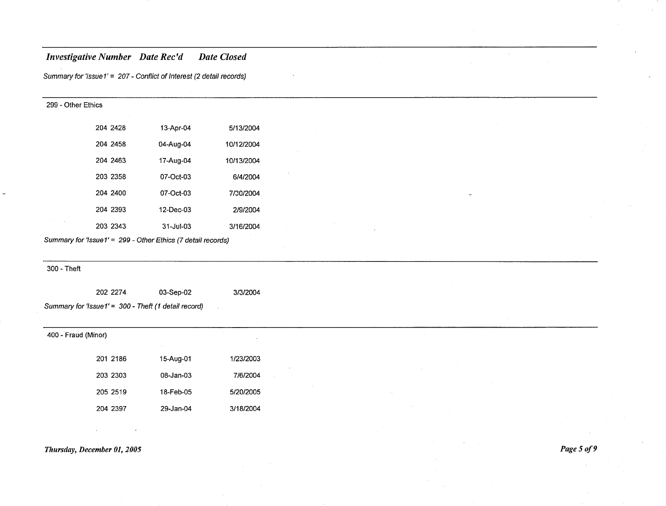Summary for 'lssue1' = 207 - Conflict of Interest (2 detail records)

| 299 - Other Ethics |           |            |  |  |  |  |  |
|--------------------|-----------|------------|--|--|--|--|--|
| 204 2428           | 13-Apr-04 | 5/13/2004  |  |  |  |  |  |
| 204 2458           | 04-Aug-04 | 10/12/2004 |  |  |  |  |  |
| 204 2463           | 17-Aug-04 | 10/13/2004 |  |  |  |  |  |
| 203 2358           | 07-Oct-03 | 6/4/2004   |  |  |  |  |  |
| 204 2400           | 07-Oct-03 | 7/20/2004  |  |  |  |  |  |
| 204 2393           | 12-Dec-03 | 2/9/2004   |  |  |  |  |  |
| 203 2343           | 31-Jul-03 | 3/16/2004  |  |  |  |  |  |

Summary for 'lssue1' = 299 - Other Ethics (7 detail records)

#### 300 - Theft

|                                                      | 202 2274 | 03-Sep-02 |  | 3/3/2004 |
|------------------------------------------------------|----------|-----------|--|----------|
| Summary for 'Issue1' = 300 - Theft (1 detail record) |          |           |  |          |

| 400 - Fraud (Minor) |          |           | $\cdot$   |
|---------------------|----------|-----------|-----------|
|                     | 201 2186 | 15-Aug-01 | 1/23/2003 |
|                     | 203 2303 | 08-Jan-03 | 7/6/2004  |
|                     | 205 2519 | 18-Feb-05 | 5/20/2005 |
|                     | 204 2397 | 29-Jan-04 | 3/18/2004 |

#### *Thursday, December 01, 2005*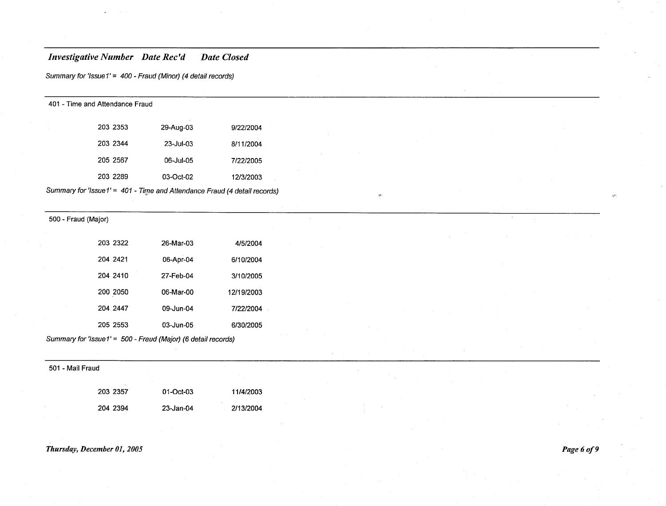Summary for 'Issue 1' = 400 - Fraud (Minor) (4 detail records)

401 - Time and Attendance Fraud

| 203 2353 | 29-Aug-03 | 9/22/2004 |
|----------|-----------|-----------|
| 203 2344 | 23-Jul-03 | 8/11/2004 |
| 205 2567 | 06-Jul-05 | 7/22/2005 |
| 203 2289 | 03-Oct-02 | 12/3/2003 |

Summary for 'Issue1' = 401 - Time and Attendance Fraud (4 detail records)

500 - Fraud (Major)

| 203 2322 | 26-Mar-03 | 4/5/2004   |
|----------|-----------|------------|
| 204 2421 | 06-Apr-04 | 6/10/2004  |
| 204 2410 | 27-Feb-04 | 3/10/2005  |
| 200 2050 | 06-Mar-00 | 12/19/2003 |
| 204 2447 | 09-Jun-04 | 7/22/2004  |
| 205 2553 | 03-Jun-05 | 6/30/2005  |

Summary for 'Issue 1' = 500 - Fraud (Major) (6 detail records)

501 - Mail Fraud

| 203 2357 | 01-Oct-03 | 11/4/2003 |
|----------|-----------|-----------|
| 204 2394 | 23-Jan-04 | 2/13/2004 |

#### *Thursday, December 01, 2005*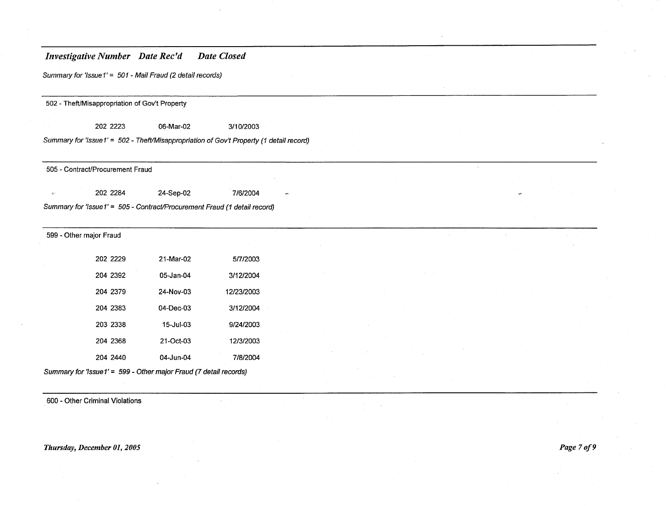Summary for 'Issue1' = 501 - Mail Fraud (2 detail records)

- Theft/Misappropriation of Gov't Property

06-Mar-02 3/10/2003

Summary for 'Issue 1' = 502 - Theft/Misappropriation of Gov't Property (1 detail record)

- ContracUProcurement Fraud

24-Sep-02 7/6/2004

Summary for 'lssue1' = <sup>505</sup> - Contract/Procurement Fraud (1 detail record)

- Other major Fraud

 $\alpha$ 

| 202 2229 | 21-Mar-02       | 5/7/2003   |
|----------|-----------------|------------|
| 204 2392 | 05-Jan-04       | 3/12/2004  |
| 204 2379 | 24-Nov-03       | 12/23/2003 |
| 204 2383 | $04 - Dec - 03$ | 3/12/2004  |
| 203 2338 | 15-Jul-03       | 9/24/2003  |
| 204 2368 | 21-Oct-03       | 12/3/2003  |
| 204 2440 | 04-Jun-04       | 7/8/2004   |
|          |                 |            |

Summary for 'Issue 1' = 599 - Other major Fraud (7 detail records)

- Other Criminal Violations

*Thursday, December 01,2005 Page 70f9*

 $\mathcal{A}$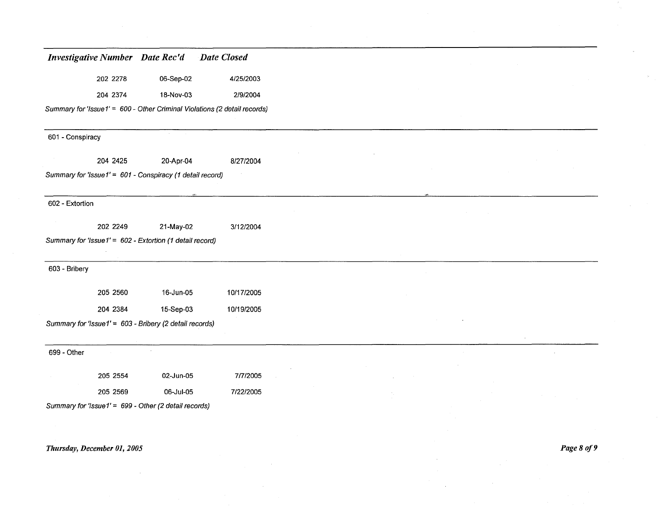| <b>Investigative Number</b> Date Rec'd                    |           | Date Closed                                                               |  |  |  |
|-----------------------------------------------------------|-----------|---------------------------------------------------------------------------|--|--|--|
| 202 2278                                                  | 06-Sep-02 | 4/25/2003                                                                 |  |  |  |
| 204 2374                                                  | 18-Nov-03 | 2/9/2004                                                                  |  |  |  |
|                                                           |           | Summary for 'Issue1' = 600 - Other Criminal Violations (2 detail records) |  |  |  |
| 601 - Conspiracy                                          |           |                                                                           |  |  |  |
| 204 2425                                                  | 20-Apr-04 | 8/27/2004                                                                 |  |  |  |
| Summary for 'Issue1' = 601 - Conspiracy (1 detail record) |           |                                                                           |  |  |  |
| 602 - Extortion                                           |           |                                                                           |  |  |  |
| 202 2249                                                  | 21-May-02 | 3/12/2004                                                                 |  |  |  |
| Summary for 'Issue1' = 602 - Extortion (1 detail record)  |           |                                                                           |  |  |  |
|                                                           |           |                                                                           |  |  |  |
| 603 - Bribery                                             |           |                                                                           |  |  |  |
| 205 2560                                                  | 16-Jun-05 | 10/17/2005                                                                |  |  |  |
| 204 2384                                                  | 15-Sep-03 | 10/19/2005                                                                |  |  |  |
| Summary for 'Issue1' = 603 - Bribery (2 detail records)   |           |                                                                           |  |  |  |
| 699 - Other                                               |           |                                                                           |  |  |  |
|                                                           |           |                                                                           |  |  |  |
| 205 2554                                                  | 02-Jun-05 | 7/7/2005                                                                  |  |  |  |
| 205 2569                                                  | 06-Jul-05 | 7/22/2005                                                                 |  |  |  |
| Summary for 'Issue1' = 699 - Other (2 detail records)     |           |                                                                           |  |  |  |

# *Thursday, December 01,2005 Page8of9*